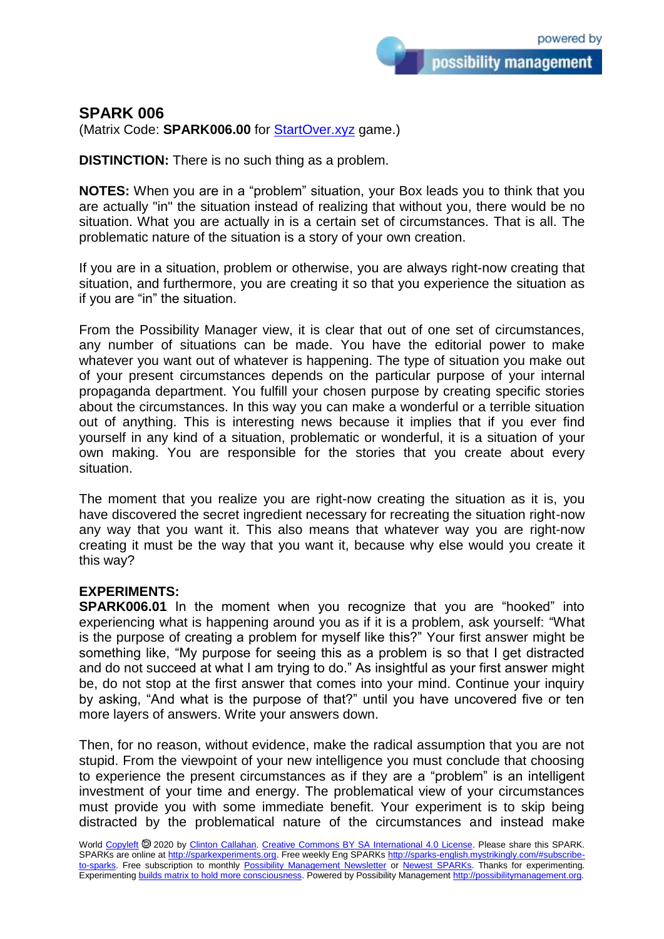## **SPARK 006**

(Matrix Code: **SPARK006.00** for [StartOver.xyz](https://startoverxyz.mystrikingly.com/) game.)

**DISTINCTION:** There is no such thing as a problem.

**NOTES:** When you are in a "problem" situation, your Box leads you to think that you are actually "in" the situation instead of realizing that without you, there would be no situation. What you are actually in is a certain set of circumstances. That is all. The problematic nature of the situation is a story of your own creation.

If you are in a situation, problem or otherwise, you are always right-now creating that situation, and furthermore, you are creating it so that you experience the situation as if you are "in" the situation.

From the Possibility Manager view, it is clear that out of one set of circumstances, any number of situations can be made. You have the editorial power to make whatever you want out of whatever is happening. The type of situation you make out of your present circumstances depends on the particular purpose of your internal propaganda department. You fulfill your chosen purpose by creating specific stories about the circumstances. In this way you can make a wonderful or a terrible situation out of anything. This is interesting news because it implies that if you ever find yourself in any kind of a situation, problematic or wonderful, it is a situation of your own making. You are responsible for the stories that you create about every situation.

The moment that you realize you are right-now creating the situation as it is, you have discovered the secret ingredient necessary for recreating the situation right-now any way that you want it. This also means that whatever way you are right-now creating it must be the way that you want it, because why else would you create it this way?

## **EXPERIMENTS:**

**SPARK006.01** In the moment when you recognize that you are "hooked" into experiencing what is happening around you as if it is a problem, ask yourself: "What is the purpose of creating a problem for myself like this?" Your first answer might be something like, "My purpose for seeing this as a problem is so that I get distracted and do not succeed at what I am trying to do." As insightful as your first answer might be, do not stop at the first answer that comes into your mind. Continue your inquiry by asking, "And what is the purpose of that?" until you have uncovered five or ten more layers of answers. Write your answers down.

Then, for no reason, without evidence, make the radical assumption that you are not stupid. From the viewpoint of your new intelligence you must conclude that choosing to experience the present circumstances as if they are a "problem" is an intelligent investment of your time and energy. The problematical view of your circumstances must provide you with some immediate benefit. Your experiment is to skip being distracted by the problematical nature of the circumstances and instead make